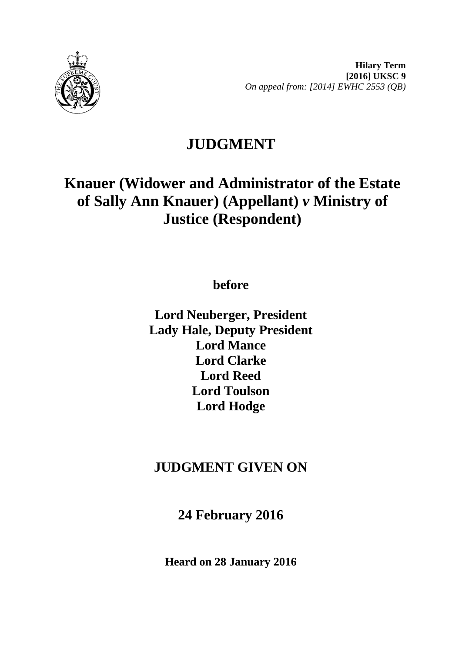

**Hilary Term [2016] UKSC 9** *On appeal from: [2014] EWHC 2553 (QB)*

# **JUDGMENT**

# **Knauer (Widower and Administrator of the Estate of Sally Ann Knauer) (Appellant)** *v* **Ministry of Justice (Respondent)**

**before**

**Lord Neuberger, President Lady Hale, Deputy President Lord Mance Lord Clarke Lord Reed Lord Toulson Lord Hodge**

## **JUDGMENT GIVEN ON**

**24 February 2016**

**Heard on 28 January 2016**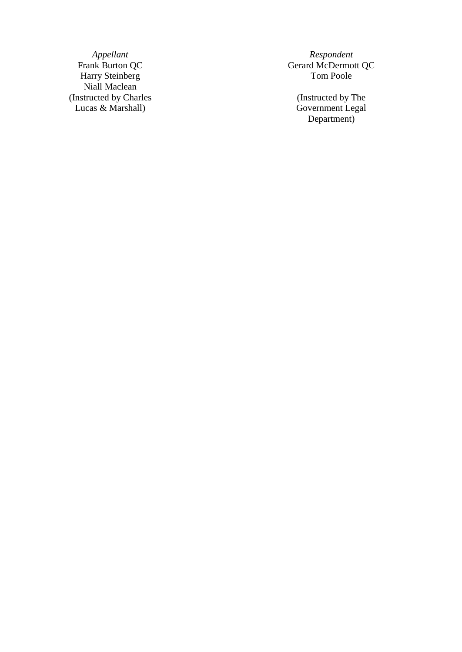*Appellant Respondent*<br>Frank Burton QC *Respondent* Gerard McDermot Harry Steinberg Niall Maclean (Instructed by Charles Lucas & Marshall )

Gerard McDermott QC<br>Tom Poole

(Instructed by The Government Legal Department )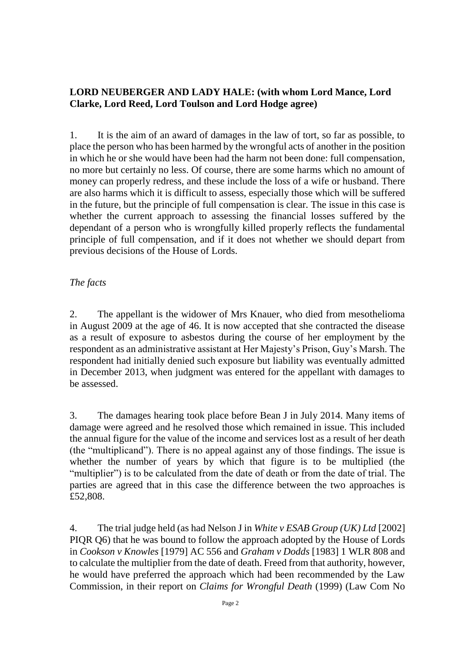### **LORD NEUBERGER AND LADY HALE: (with whom Lord Mance, Lord Clarke, Lord Reed, Lord Toulson and Lord Hodge agree)**

1. It is the aim of an award of damages in the law of tort, so far as possible, to place the person who has been harmed by the wrongful acts of another in the position in which he or she would have been had the harm not been done: full compensation, no more but certainly no less. Of course, there are some harms which no amount of money can properly redress, and these include the loss of a wife or husband. There are also harms which it is difficult to assess, especially those which will be suffered in the future, but the principle of full compensation is clear. The issue in this case is whether the current approach to assessing the financial losses suffered by the dependant of a person who is wrongfully killed properly reflects the fundamental principle of full compensation, and if it does not whether we should depart from previous decisions of the House of Lords.

#### *The facts*

2. The appellant is the widower of Mrs Knauer, who died from mesothelioma in August 2009 at the age of 46. It is now accepted that she contracted the disease as a result of exposure to asbestos during the course of her employment by the respondent as an administrative assistant at Her Majesty's Prison, Guy's Marsh. The respondent had initially denied such exposure but liability was eventually admitted in December 2013, when judgment was entered for the appellant with damages to be assessed.

3. The damages hearing took place before Bean J in July 2014. Many items of damage were agreed and he resolved those which remained in issue. This included the annual figure for the value of the income and services lost as a result of her death (the "multiplicand"). There is no appeal against any of those findings. The issue is whether the number of years by which that figure is to be multiplied (the "multiplier") is to be calculated from the date of death or from the date of trial. The parties are agreed that in this case the difference between the two approaches is £52,808.

4. The trial judge held (as had Nelson J in *White v ESAB Group (UK) Ltd* [2002] PIQR Q6) that he was bound to follow the approach adopted by the House of Lords in *Cookson v Knowles* [1979] AC 556 and *Graham v Dodds* [1983] 1 WLR 808 and to calculate the multiplier from the date of death. Freed from that authority, however, he would have preferred the approach which had been recommended by the Law Commission, in their report on *Claims for Wrongful Death* (1999) (Law Com No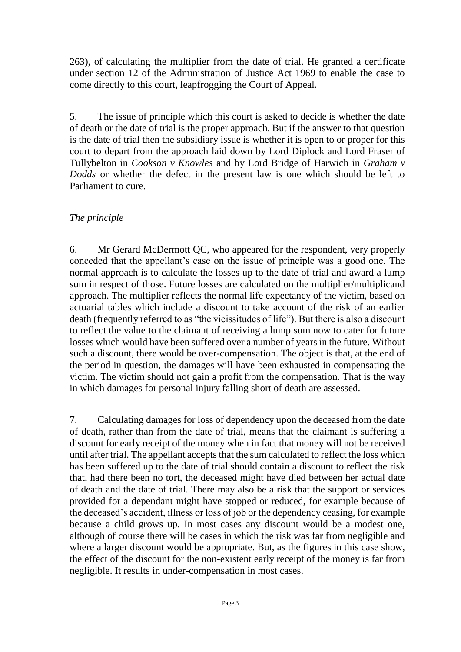263), of calculating the multiplier from the date of trial. He granted a certificate under section 12 of the Administration of Justice Act 1969 to enable the case to come directly to this court, leapfrogging the Court of Appeal.

5. The issue of principle which this court is asked to decide is whether the date of death or the date of trial is the proper approach. But if the answer to that question is the date of trial then the subsidiary issue is whether it is open to or proper for this court to depart from the approach laid down by Lord Diplock and Lord Fraser of Tullybelton in *Cookson v Knowles* and by Lord Bridge of Harwich in *Graham v Dodds* or whether the defect in the present law is one which should be left to Parliament to cure.

### *The principle*

6. Mr Gerard McDermott QC, who appeared for the respondent, very properly conceded that the appellant's case on the issue of principle was a good one. The normal approach is to calculate the losses up to the date of trial and award a lump sum in respect of those. Future losses are calculated on the multiplier/multiplicand approach. The multiplier reflects the normal life expectancy of the victim, based on actuarial tables which include a discount to take account of the risk of an earlier death (frequently referred to as "the vicissitudes of life"). But there is also a discount to reflect the value to the claimant of receiving a lump sum now to cater for future losses which would have been suffered over a number of years in the future. Without such a discount, there would be over-compensation. The object is that, at the end of the period in question, the damages will have been exhausted in compensating the victim. The victim should not gain a profit from the compensation. That is the way in which damages for personal injury falling short of death are assessed.

7. Calculating damages for loss of dependency upon the deceased from the date of death, rather than from the date of trial, means that the claimant is suffering a discount for early receipt of the money when in fact that money will not be received until after trial. The appellant accepts that the sum calculated to reflect the loss which has been suffered up to the date of trial should contain a discount to reflect the risk that, had there been no tort, the deceased might have died between her actual date of death and the date of trial. There may also be a risk that the support or services provided for a dependant might have stopped or reduced, for example because of the deceased's accident, illness or loss of job or the dependency ceasing, for example because a child grows up. In most cases any discount would be a modest one, although of course there will be cases in which the risk was far from negligible and where a larger discount would be appropriate. But, as the figures in this case show, the effect of the discount for the non-existent early receipt of the money is far from negligible. It results in under-compensation in most cases.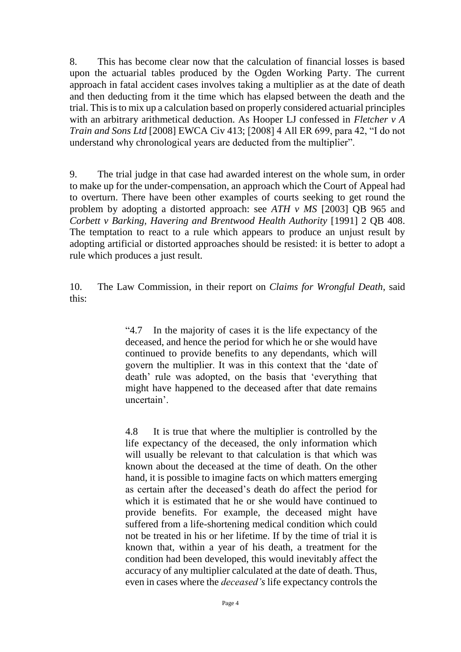8. This has become clear now that the calculation of financial losses is based upon the actuarial tables produced by the Ogden Working Party. The current approach in fatal accident cases involves taking a multiplier as at the date of death and then deducting from it the time which has elapsed between the death and the trial. This is to mix up a calculation based on properly considered actuarial principles with an arbitrary arithmetical deduction. As Hooper LJ confessed in *Fletcher v A Train and Sons Ltd* [2008] EWCA Civ 413; [2008] 4 All ER 699, para 42, "I do not understand why chronological years are deducted from the multiplier".

9. The trial judge in that case had awarded interest on the whole sum, in order to make up for the under-compensation, an approach which the Court of Appeal had to overturn. There have been other examples of courts seeking to get round the problem by adopting a distorted approach: see *ATH v MS* [2003] QB 965 and *Corbett v Barking, Havering and Brentwood Health Authority* [1991] 2 QB 408. The temptation to react to a rule which appears to produce an unjust result by adopting artificial or distorted approaches should be resisted: it is better to adopt a rule which produces a just result.

10. The Law Commission, in their report on *Claims for Wrongful Death*, said this:

> "4.7 In the majority of cases it is the life expectancy of the deceased, and hence the period for which he or she would have continued to provide benefits to any dependants, which will govern the multiplier. It was in this context that the 'date of death' rule was adopted, on the basis that 'everything that might have happened to the deceased after that date remains uncertain'.

> 4.8 It is true that where the multiplier is controlled by the life expectancy of the deceased, the only information which will usually be relevant to that calculation is that which was known about the deceased at the time of death. On the other hand, it is possible to imagine facts on which matters emerging as certain after the deceased's death do affect the period for which it is estimated that he or she would have continued to provide benefits. For example, the deceased might have suffered from a life-shortening medical condition which could not be treated in his or her lifetime. If by the time of trial it is known that, within a year of his death, a treatment for the condition had been developed, this would inevitably affect the accuracy of any multiplier calculated at the date of death. Thus, even in cases where the *deceased's* life expectancy controls the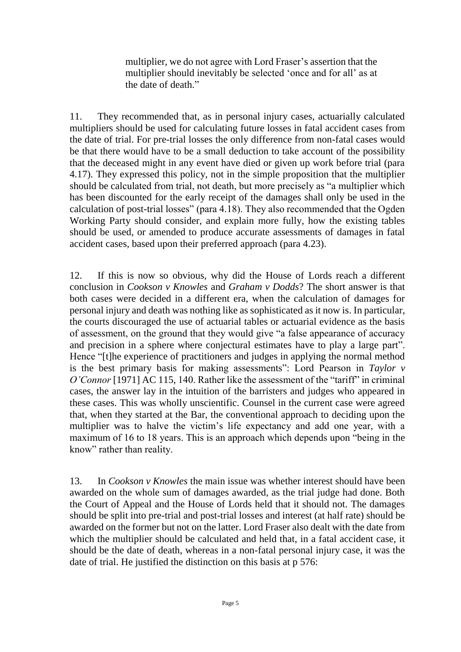multiplier, we do not agree with Lord Fraser's assertion that the multiplier should inevitably be selected 'once and for all' as at the date of death."

11. They recommended that, as in personal injury cases, actuarially calculated multipliers should be used for calculating future losses in fatal accident cases from the date of trial. For pre-trial losses the only difference from non-fatal cases would be that there would have to be a small deduction to take account of the possibility that the deceased might in any event have died or given up work before trial (para 4.17). They expressed this policy, not in the simple proposition that the multiplier should be calculated from trial, not death, but more precisely as "a multiplier which has been discounted for the early receipt of the damages shall only be used in the calculation of post-trial losses" (para 4.18). They also recommended that the Ogden Working Party should consider, and explain more fully, how the existing tables should be used, or amended to produce accurate assessments of damages in fatal accident cases, based upon their preferred approach (para 4.23).

12. If this is now so obvious, why did the House of Lords reach a different conclusion in *Cookson v Knowles* and *Graham v Dodds*? The short answer is that both cases were decided in a different era, when the calculation of damages for personal injury and death was nothing like as sophisticated as it now is. In particular, the courts discouraged the use of actuarial tables or actuarial evidence as the basis of assessment, on the ground that they would give "a false appearance of accuracy and precision in a sphere where conjectural estimates have to play a large part". Hence "[t]he experience of practitioners and judges in applying the normal method is the best primary basis for making assessments": Lord Pearson in *Taylor v O'Connor* [1971] AC 115, 140. Rather like the assessment of the "tariff" in criminal cases, the answer lay in the intuition of the barristers and judges who appeared in these cases. This was wholly unscientific. Counsel in the current case were agreed that, when they started at the Bar, the conventional approach to deciding upon the multiplier was to halve the victim's life expectancy and add one year, with a maximum of 16 to 18 years. This is an approach which depends upon "being in the know" rather than reality.

13. In *Cookson v Knowles* the main issue was whether interest should have been awarded on the whole sum of damages awarded, as the trial judge had done. Both the Court of Appeal and the House of Lords held that it should not. The damages should be split into pre-trial and post-trial losses and interest (at half rate) should be awarded on the former but not on the latter. Lord Fraser also dealt with the date from which the multiplier should be calculated and held that, in a fatal accident case, it should be the date of death, whereas in a non-fatal personal injury case, it was the date of trial. He justified the distinction on this basis at p 576: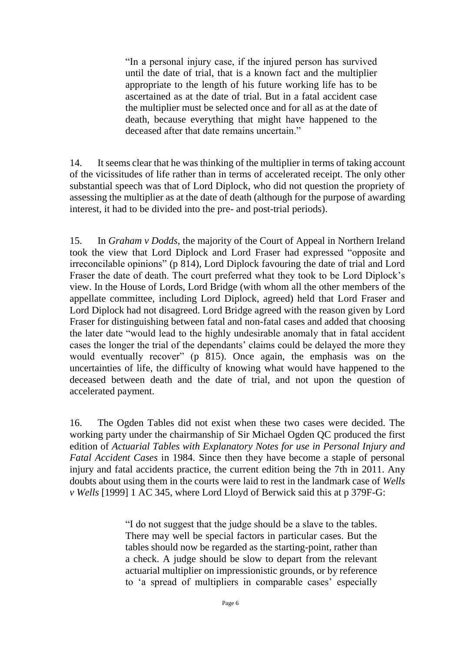"In a personal injury case, if the injured person has survived until the date of trial, that is a known fact and the multiplier appropriate to the length of his future working life has to be ascertained as at the date of trial. But in a fatal accident case the multiplier must be selected once and for all as at the date of death, because everything that might have happened to the deceased after that date remains uncertain."

14. It seems clear that he was thinking of the multiplier in terms of taking account of the vicissitudes of life rather than in terms of accelerated receipt. The only other substantial speech was that of Lord Diplock, who did not question the propriety of assessing the multiplier as at the date of death (although for the purpose of awarding interest, it had to be divided into the pre- and post-trial periods).

15. In *Graham v Dodds*, the majority of the Court of Appeal in Northern Ireland took the view that Lord Diplock and Lord Fraser had expressed "opposite and irreconcilable opinions" (p 814), Lord Diplock favouring the date of trial and Lord Fraser the date of death. The court preferred what they took to be Lord Diplock's view. In the House of Lords, Lord Bridge (with whom all the other members of the appellate committee, including Lord Diplock, agreed) held that Lord Fraser and Lord Diplock had not disagreed. Lord Bridge agreed with the reason given by Lord Fraser for distinguishing between fatal and non-fatal cases and added that choosing the later date "would lead to the highly undesirable anomaly that in fatal accident cases the longer the trial of the dependants' claims could be delayed the more they would eventually recover" (p 815). Once again, the emphasis was on the uncertainties of life, the difficulty of knowing what would have happened to the deceased between death and the date of trial, and not upon the question of accelerated payment.

16. The Ogden Tables did not exist when these two cases were decided. The working party under the chairmanship of Sir Michael Ogden QC produced the first edition of *Actuarial Tables with Explanatory Notes for use in Personal Injury and Fatal Accident Cases* in 1984. Since then they have become a staple of personal injury and fatal accidents practice, the current edition being the 7th in 2011. Any doubts about using them in the courts were laid to rest in the landmark case of *Wells v Wells* [1999] 1 AC 345, where Lord Lloyd of Berwick said this at p 379F-G:

> "I do not suggest that the judge should be a slave to the tables. There may well be special factors in particular cases. But the tables should now be regarded as the starting-point, rather than a check. A judge should be slow to depart from the relevant actuarial multiplier on impressionistic grounds, or by reference to 'a spread of multipliers in comparable cases' especially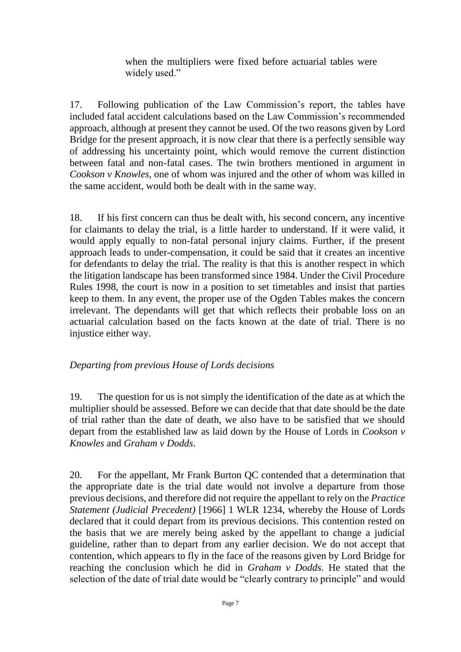when the multipliers were fixed before actuarial tables were widely used."

17. Following publication of the Law Commission's report, the tables have included fatal accident calculations based on the Law Commission's recommended approach, although at present they cannot be used. Of the two reasons given by Lord Bridge for the present approach, it is now clear that there is a perfectly sensible way of addressing his uncertainty point, which would remove the current distinction between fatal and non-fatal cases. The twin brothers mentioned in argument in *Cookson v Knowles*, one of whom was injured and the other of whom was killed in the same accident, would both be dealt with in the same way.

18. If his first concern can thus be dealt with, his second concern, any incentive for claimants to delay the trial, is a little harder to understand. If it were valid, it would apply equally to non-fatal personal injury claims. Further, if the present approach leads to under-compensation, it could be said that it creates an incentive for defendants to delay the trial. The reality is that this is another respect in which the litigation landscape has been transformed since 1984. Under the Civil Procedure Rules 1998, the court is now in a position to set timetables and insist that parties keep to them. In any event, the proper use of the Ogden Tables makes the concern irrelevant. The dependants will get that which reflects their probable loss on an actuarial calculation based on the facts known at the date of trial. There is no injustice either way.

#### *Departing from previous House of Lords decisions*

19. The question for us is not simply the identification of the date as at which the multiplier should be assessed. Before we can decide that that date should be the date of trial rather than the date of death, we also have to be satisfied that we should depart from the established law as laid down by the House of Lords in *Cookson v Knowles* and *Graham v Dodds*.

20. For the appellant, Mr Frank Burton QC contended that a determination that the appropriate date is the trial date would not involve a departure from those previous decisions, and therefore did not require the appellant to rely on the *Practice Statement (Judicial Precedent)* [1966] 1 WLR 1234, whereby the House of Lords declared that it could depart from its previous decisions. This contention rested on the basis that we are merely being asked by the appellant to change a judicial guideline, rather than to depart from any earlier decision. We do not accept that contention, which appears to fly in the face of the reasons given by Lord Bridge for reaching the conclusion which he did in *Graham v Dodds*. He stated that the selection of the date of trial date would be "clearly contrary to principle" and would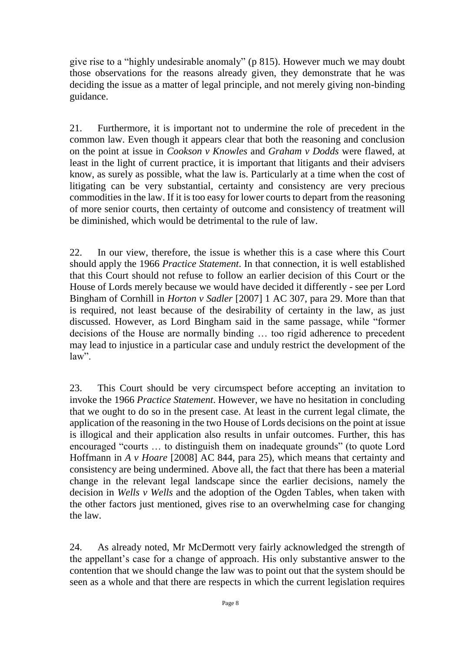give rise to a "highly undesirable anomaly" (p 815). However much we may doubt those observations for the reasons already given, they demonstrate that he was deciding the issue as a matter of legal principle, and not merely giving non-binding guidance.

21. Furthermore, it is important not to undermine the role of precedent in the common law. Even though it appears clear that both the reasoning and conclusion on the point at issue in *Cookson v Knowles* and *Graham v Dodds* were flawed, at least in the light of current practice, it is important that litigants and their advisers know, as surely as possible, what the law is. Particularly at a time when the cost of litigating can be very substantial, certainty and consistency are very precious commodities in the law. If it is too easy for lower courts to depart from the reasoning of more senior courts, then certainty of outcome and consistency of treatment will be diminished, which would be detrimental to the rule of law.

22. In our view, therefore, the issue is whether this is a case where this Court should apply the 1966 *Practice Statement*. In that connection, it is well established that this Court should not refuse to follow an earlier decision of this Court or the House of Lords merely because we would have decided it differently - see per Lord Bingham of Cornhill in *Horton v Sadler* [2007] 1 AC 307, para 29. More than that is required, not least because of the desirability of certainty in the law, as just discussed. However, as Lord Bingham said in the same passage, while "former decisions of the House are normally binding … too rigid adherence to precedent may lead to injustice in a particular case and unduly restrict the development of the law".

23. This Court should be very circumspect before accepting an invitation to invoke the 1966 *Practice Statement*. However, we have no hesitation in concluding that we ought to do so in the present case. At least in the current legal climate, the application of the reasoning in the two House of Lords decisions on the point at issue is illogical and their application also results in unfair outcomes. Further, this has encouraged "courts … to distinguish them on inadequate grounds" (to quote Lord Hoffmann in *A v Hoare* [2008] AC 844, para 25), which means that certainty and consistency are being undermined. Above all, the fact that there has been a material change in the relevant legal landscape since the earlier decisions, namely the decision in *Wells v Wells* and the adoption of the Ogden Tables, when taken with the other factors just mentioned, gives rise to an overwhelming case for changing the law.

24. As already noted, Mr McDermott very fairly acknowledged the strength of the appellant's case for a change of approach. His only substantive answer to the contention that we should change the law was to point out that the system should be seen as a whole and that there are respects in which the current legislation requires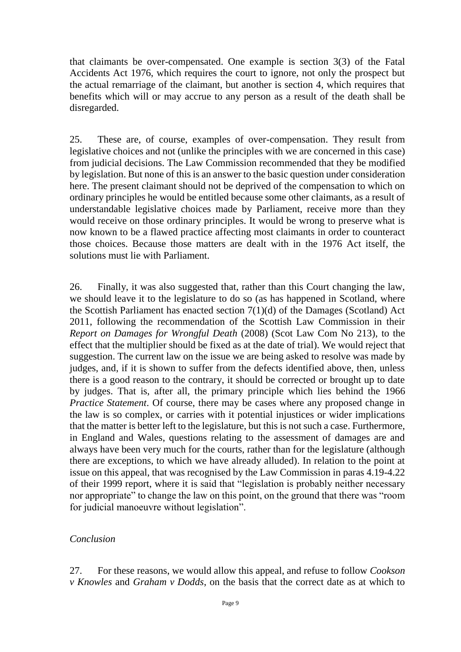that claimants be over-compensated. One example is section 3(3) of the Fatal Accidents Act 1976, which requires the court to ignore, not only the prospect but the actual remarriage of the claimant, but another is section 4, which requires that benefits which will or may accrue to any person as a result of the death shall be disregarded.

25. These are, of course, examples of over-compensation. They result from legislative choices and not (unlike the principles with we are concerned in this case) from judicial decisions. The Law Commission recommended that they be modified by legislation. But none of this is an answer to the basic question under consideration here. The present claimant should not be deprived of the compensation to which on ordinary principles he would be entitled because some other claimants, as a result of understandable legislative choices made by Parliament, receive more than they would receive on those ordinary principles. It would be wrong to preserve what is now known to be a flawed practice affecting most claimants in order to counteract those choices. Because those matters are dealt with in the 1976 Act itself, the solutions must lie with Parliament.

26. Finally, it was also suggested that, rather than this Court changing the law, we should leave it to the legislature to do so (as has happened in Scotland, where the Scottish Parliament has enacted section 7(1)(d) of the Damages (Scotland) Act 2011, following the recommendation of the Scottish Law Commission in their *Report on Damages for Wrongful Death* (2008) (Scot Law Com No 213), to the effect that the multiplier should be fixed as at the date of trial). We would reject that suggestion. The current law on the issue we are being asked to resolve was made by judges, and, if it is shown to suffer from the defects identified above, then, unless there is a good reason to the contrary, it should be corrected or brought up to date by judges. That is, after all, the primary principle which lies behind the 1966 *Practice Statement*. Of course, there may be cases where any proposed change in the law is so complex, or carries with it potential injustices or wider implications that the matter is better left to the legislature, but this is not such a case. Furthermore, in England and Wales, questions relating to the assessment of damages are and always have been very much for the courts, rather than for the legislature (although there are exceptions, to which we have already alluded). In relation to the point at issue on this appeal, that was recognised by the Law Commission in paras 4.19-4.22 of their 1999 report, where it is said that "legislation is probably neither necessary nor appropriate" to change the law on this point, on the ground that there was "room for judicial manoeuvre without legislation".

#### *Conclusion*

27. For these reasons, we would allow this appeal, and refuse to follow *Cookson v Knowles* and *Graham v Dodds*, on the basis that the correct date as at which to